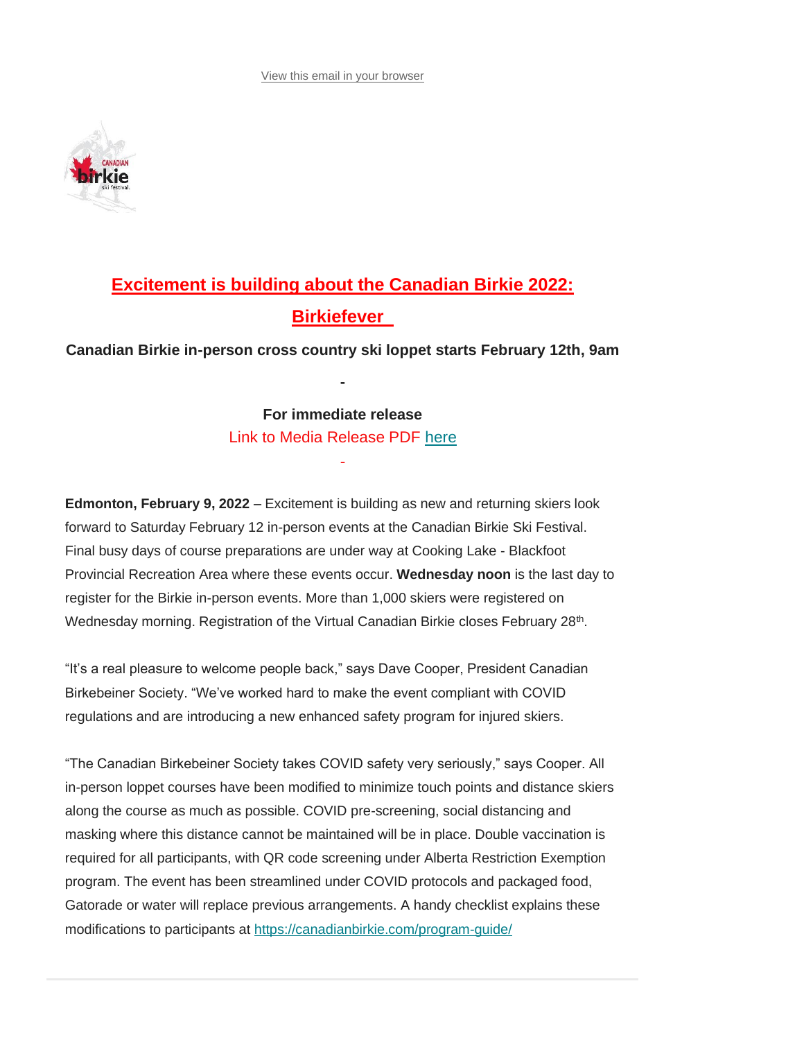[View this email in your browser](https://mailchi.mp/canadianbirkie/birkie-news-feb-6-8982451?e=%5bUNIQID%5d)



# **Excitement is building about the Canadian Birkie 2022: Birkiefever**

**Canadian Birkie in-person cross country ski loppet starts February 12th, 9am**

**-**

# **For immediate release**

Link to Media Release PDF [here](https://canadianbirkie.com/wp-content/uploads/2022029_canadianbirkie_mediarelease1924.pdf) -

**Edmonton, February 9, 2022** – Excitement is building as new and returning skiers look forward to Saturday February 12 in-person events at the Canadian Birkie Ski Festival. Final busy days of course preparations are under way at Cooking Lake - Blackfoot Provincial Recreation Area where these events occur. **Wednesday noon** is the last day to register for the Birkie in-person events. More than 1,000 skiers were registered on Wednesday morning. Registration of the Virtual Canadian Birkie closes February 28<sup>th</sup>.

"It's a real pleasure to welcome people back," says Dave Cooper, President Canadian Birkebeiner Society. "We've worked hard to make the event compliant with COVID regulations and are introducing a new enhanced safety program for injured skiers.

"The Canadian Birkebeiner Society takes COVID safety very seriously," says Cooper. All in-person loppet courses have been modified to minimize touch points and distance skiers along the course as much as possible. COVID pre-screening, social distancing and masking where this distance cannot be maintained will be in place. Double vaccination is required for all participants, with QR code screening under Alberta Restriction Exemption program. The event has been streamlined under COVID protocols and packaged food, Gatorade or water will replace previous arrangements. A handy checklist explains these modifications to participants at <https://canadianbirkie.com/program-guide/>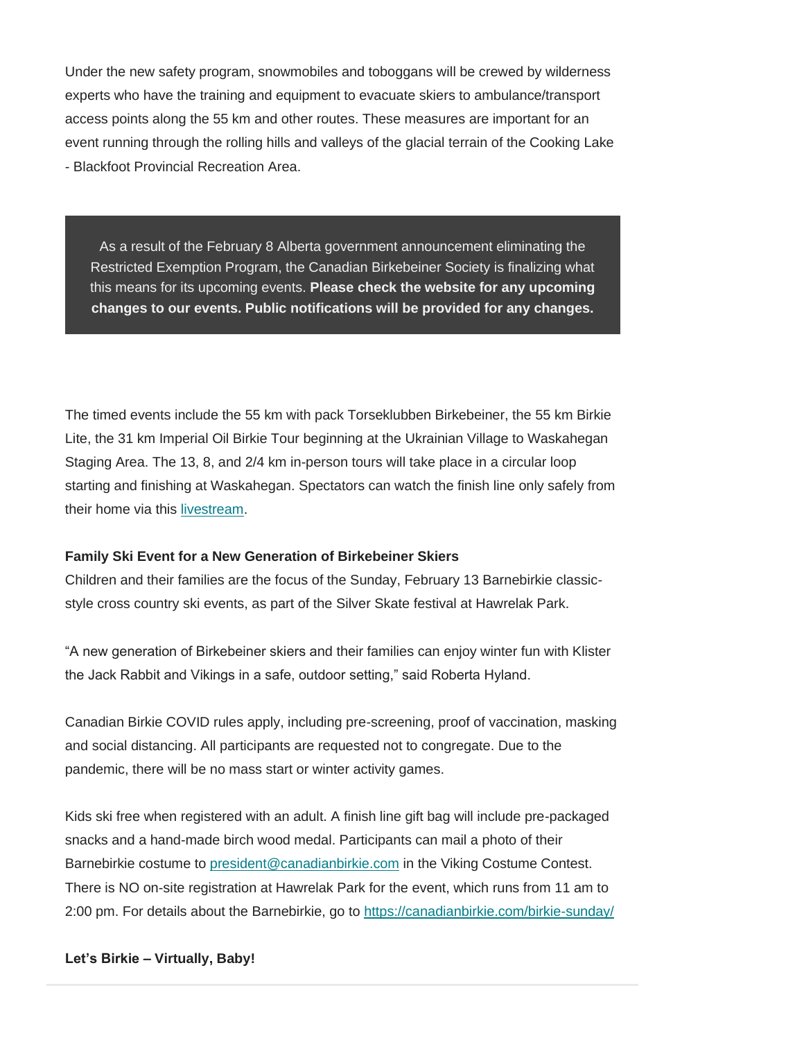Under the new safety program, snowmobiles and toboggans will be crewed by wilderness experts who have the training and equipment to evacuate skiers to ambulance/transport access points along the 55 km and other routes. These measures are important for an event running through the rolling hills and valleys of the glacial terrain of the Cooking Lake - Blackfoot Provincial Recreation Area.

As a result of the February 8 Alberta government announcement eliminating the Restricted Exemption Program, the Canadian Birkebeiner Society is finalizing what this means for its upcoming events. **Please check the website for any upcoming changes to our events. Public notifications will be provided for any changes.**

The timed events include the 55 km with pack Torseklubben Birkebeiner, the 55 km Birkie Lite, the 31 km Imperial Oil Birkie Tour beginning at the Ukrainian Village to Waskahegan Staging Area. The 13, 8, and 2/4 km in-person tours will take place in a circular loop starting and finishing at Waskahegan. Spectators can watch the finish line only safely from their home via this [livestream.](https://www.3sixty.live/en/channel/kdl-audio/c/canadian-birkie-ski-festival.1534)

## **Family Ski Event for a New Generation of Birkebeiner Skiers**

Children and their families are the focus of the Sunday, February 13 Barnebirkie classicstyle cross country ski events, as part of the Silver Skate festival at Hawrelak Park.

"A new generation of Birkebeiner skiers and their families can enjoy winter fun with Klister the Jack Rabbit and Vikings in a safe, outdoor setting," said Roberta Hyland.

Canadian Birkie COVID rules apply, including pre-screening, proof of vaccination, masking and social distancing. All participants are requested not to congregate. Due to the pandemic, there will be no mass start or winter activity games.

Kids ski free when registered with an adult. A finish line gift bag will include pre-packaged snacks and a hand-made birch wood medal. Participants can mail a photo of their Barnebirkie costume to [president@canadianbirkie.com](mailto:president@canadianbirkie.com) in the Viking Costume Contest. There is NO on-site registration at Hawrelak Park for the event, which runs from 11 am to 2:00 pm. For details about the Barnebirkie, go to <https://canadianbirkie.com/birkie-sunday/>

## **Let's Birkie – Virtually, Baby!**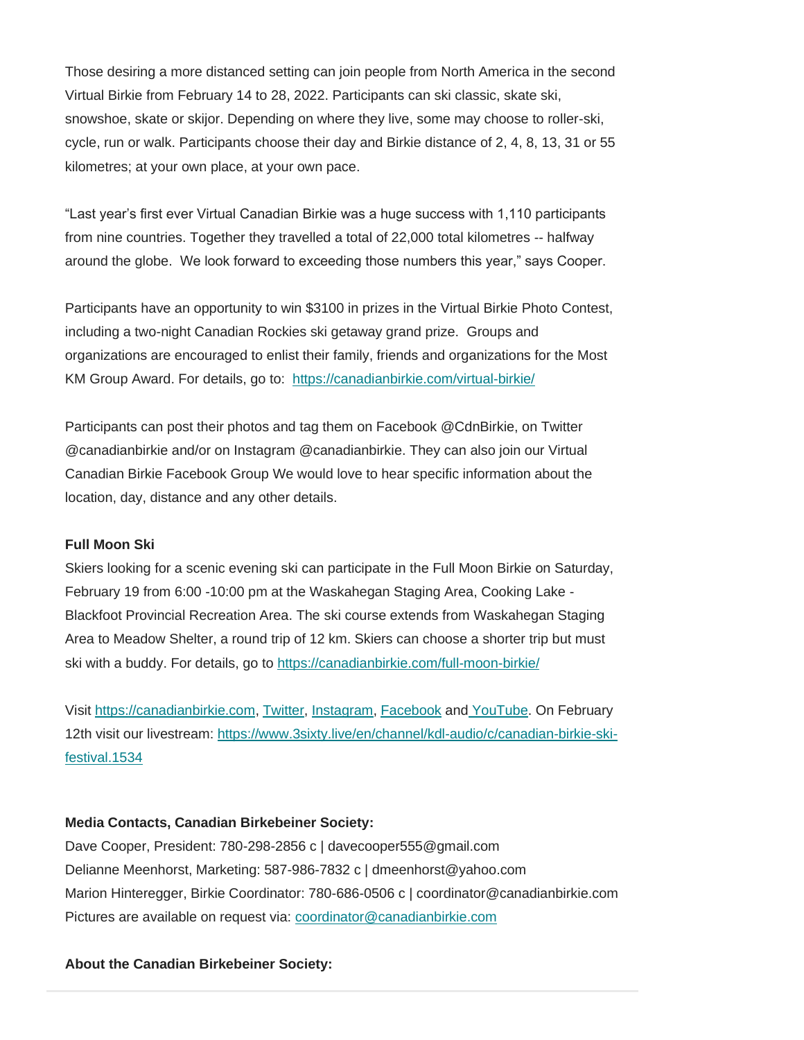Those desiring a more distanced setting can join people from North America in the second Virtual Birkie from February 14 to 28, 2022. Participants can ski classic, skate ski, snowshoe, skate or skijor. Depending on where they live, some may choose to roller-ski, cycle, run or walk. Participants choose their day and Birkie distance of 2, 4, 8, 13, 31 or 55 kilometres; at your own place, at your own pace.

"Last year's first ever Virtual Canadian Birkie was a huge success with 1,110 participants from nine countries. Together they travelled a total of 22,000 total kilometres -- halfway around the globe. We look forward to exceeding those numbers this year," says Cooper.

Participants have an opportunity to win \$3100 in prizes in the Virtual Birkie Photo Contest, including a two-night Canadian Rockies ski getaway grand prize. Groups and organizations are encouraged to enlist their family, friends and organizations for the Most KM Group Award. For details, go to: <https://canadianbirkie.com/virtual-birkie/>

Participants can post their photos and tag them on Facebook @CdnBirkie, on Twitter @canadianbirkie and/or on Instagram @canadianbirkie. They can also join our Virtual Canadian Birkie Facebook Group We would love to hear specific information about the location, day, distance and any other details.

## **Full Moon Ski**

Skiers looking for a scenic evening ski can participate in the Full Moon Birkie on Saturday, February 19 from 6:00 -10:00 pm at the Waskahegan Staging Area, Cooking Lake - Blackfoot Provincial Recreation Area. The ski course extends from Waskahegan Staging Area to Meadow Shelter, a round trip of 12 km. Skiers can choose a shorter trip but must ski with a buddy. For details, go to <https://canadianbirkie.com/full-moon-birkie/>

Visit [https://canadianbirkie.com,](https://canadianbirkie.com/) [Twitter,](https://twitter.com/canadianbirkie) [Instagram,](https://www.instagram.com/canadianbirkie/) [Facebook](https://www.facebook.com/cdnbirkie) and [YouTube.](https://www.youtube.com/user/Canadianbirkie) On February 12th visit our livestream: [https://www.3sixty.live/en/channel/kdl-audio/c/canadian-birkie-ski](https://www.3sixty.live/en/channel/kdl-audio/c/canadian-birkie-ski-festival.1534)[festival.1534](https://www.3sixty.live/en/channel/kdl-audio/c/canadian-birkie-ski-festival.1534)

# **Media Contacts, Canadian Birkebeiner Society:**

Dave Cooper, President: 780-298-2856 c | davecooper555@gmail.com Delianne Meenhorst, Marketing: 587-986-7832 c | dmeenhorst@yahoo.com Marion Hinteregger, Birkie Coordinator: 780-686-0506 c | coordinator@canadianbirkie.com Pictures are available on request via: [coordinator@canadianbirkie.com](mailto:coordinator@canadianbirkie.com)

# **About the Canadian Birkebeiner Society:**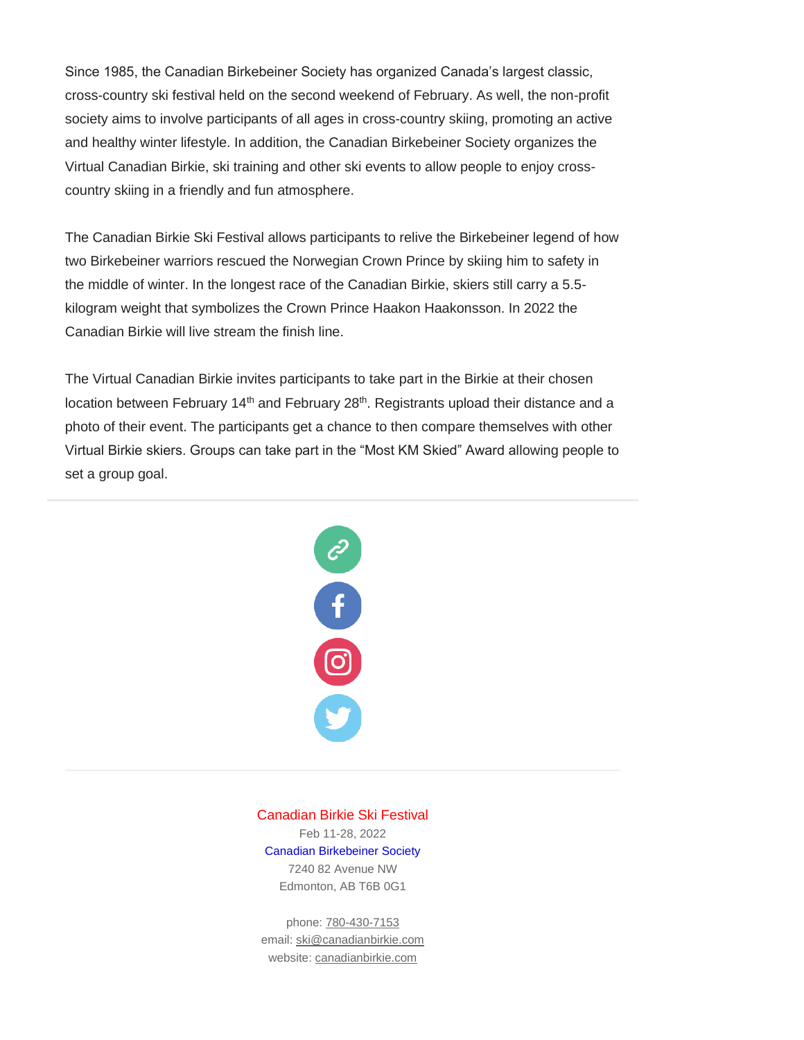Since 1985, the Canadian Birkebeiner Society has organized Canada's largest classic, cross-country ski festival held on the second weekend of February. As well, the non-profit society aims to involve participants of all ages in cross-country skiing, promoting an active and healthy winter lifestyle. In addition, the Canadian Birkebeiner Society organizes the Virtual Canadian Birkie, ski training and other ski events to allow people to enjoy crosscountry skiing in a friendly and fun atmosphere.

The Canadian Birkie Ski Festival allows participants to relive the Birkebeiner legend of how two Birkebeiner warriors rescued the Norwegian Crown Prince by skiing him to safety in the middle of winter. In the longest race of the Canadian Birkie, skiers still carry a 5.5 kilogram weight that symbolizes the Crown Prince Haakon Haakonsson. In 2022 the Canadian Birkie will live stream the finish line.

The Virtual Canadian Birkie invites participants to take part in the Birkie at their chosen location between February 14<sup>th</sup> and February 28<sup>th</sup>. Registrants upload their distance and a photo of their event. The participants get a chance to then compare themselves with other Virtual Birkie skiers. Groups can take part in the "Most KM Skied" Award allowing people to set a group goal.



Canadian Birkie Ski Festival Feb 11-28, 2022 Canadian Birkebeiner Society 7240 82 Avenue NW Edmonton, AB T6B 0G1

phone: [780-430-7153](https://canadianbirkie.com/?nltr=MjAxOzkzNjI7dGVsOjc4MDQzMDcxNTM7OzgzNDYwZTFiZThmNjE4OWUwYzI3ZGY5NmIzYjlmYzEz) email: [ski@canadianbirkie.com](https://canadianbirkie.com/?nltr=MjAxOzkzNjI7bWFpbDpza2lAY2FuYWRpYW5iaXJraWUuY29tOzs3OTNmMjA5ODE5ODQ2MGJlN2MzYmJhODBhOWJiNDIzMA%3D%3D) website: [canadianbirkie.com](https://canadianbirkie.com/?nltr=MjAxOzkzNjI7aHR0cHM6Ly9jYW5hZGlhbmJpcmtpZS5jb20vOzs0NWJiYmI0MWMxMDNjYzQ3OWEwNDQ3MmM4N2E0NjE2Zg%3D%3D)